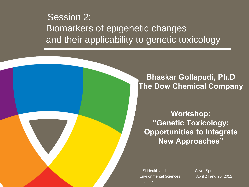#### Session 2: Biomarkers of epigenetic changes and their applicability to genetic toxicology

#### **Bhaskar Gollapudi, Ph.D The Dow Chemical Company**

**Workshop: "Genetic Toxicology: Opportunities to Integrate New Approaches"**

ILSI Health and Environmental Sciences **Institute** 

Silver Spring April 24 and 25, 2012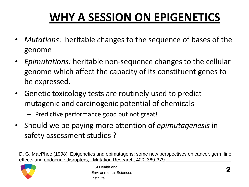### **WHY A SESSION ON EPIGENETICS**

- *Mutations*: heritable *c*hanges to the sequence of bases of the genome
- *Epimutations:* heritable non-sequence changes to the cellular genome which affect the capacity of its constituent genes to be expressed.
- Genetic toxicology tests are routinely used to predict mutagenic and carcinogenic potential of chemicals
	- Predictive performance good but not great!
- Should we be paying more attention of *epimutagenesis* in safety assessment studies ?

D. G. MacPhee (1998): Epigenetics and epimutagens: some new perspectives on cancer, germ line effects and endocrine disrupters, Mutation Research, 400, 369-379.

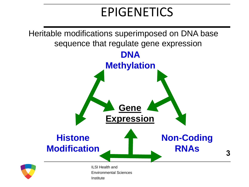### EPIGENETICS

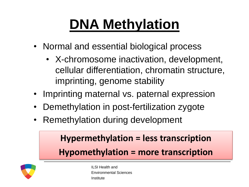# **DNA Methylation**

- Normal and essential biological process
	- X-chromosome inactivation, development, cellular differentiation, chromatin structure, imprinting, genome stability
- Imprinting maternal vs. paternal expression
- Demethylation in post-fertilization zygote
- Remethylation during development

### **Hypermethylation = less transcription Hypomethylation = more transcription**



ILSI Health and Environmental Sciences Institute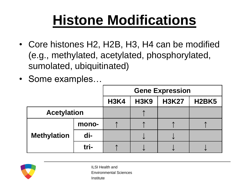## **Histone Modifications**

- Core histones H2, H2B, H3, H4 can be modified (e.g., methylated, acetylated, phosphorylated, sumolated, ubiquitinated)
- Some examples…

|                    |       | <b>Gene Expression</b> |             |              |              |
|--------------------|-------|------------------------|-------------|--------------|--------------|
|                    |       | <b>H3K4</b>            | <b>H3K9</b> | <b>H3K27</b> | <b>H2BK5</b> |
| <b>Acetylation</b> |       |                        |             |              |              |
| <b>Methylation</b> | mono- |                        |             |              |              |
|                    | di-   |                        |             |              |              |
|                    | tri-  |                        |             |              |              |



ILSI Health and Environmental Sciences Institute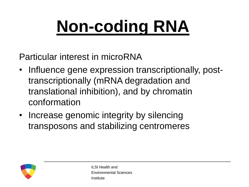# **Non-coding RNA**

Particular interest in microRNA

- Influence gene expression transcriptionally, posttranscriptionally (mRNA degradation and translational inhibition), and by chromatin conformation
- Increase genomic integrity by silencing transposons and stabilizing centromeres

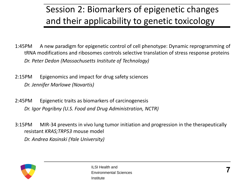### Session 2: Biomarkers of epigenetic changes and their applicability to genetic toxicology

1:45PM A new paradigm for epigenetic control of cell phenotype: Dynamic reprogramming of tRNA modifications and ribosomes controls selective translation of stress response proteins *Dr. Peter Dedon (Massachusetts Institute of Technology)*

- 2:15PM Epigenomics and impact for drug safety sciences *Dr. Jennifer Marlowe (Novartis)*
- 2:45PM Epigenetic traits as biomarkers of carcinogenesis *Dr. Igor Pogribny (U.S. Food and Drug Administration, NCTR)*
- 3:15PM MIR-34 prevents in vivo lung tumor initiation and progression in the therapeutically resistant *KRAS;TRP53* mouse model *Dr. Andrea Kasinski (Yale University)*

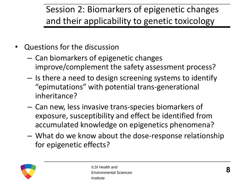### Session 2: Biomarkers of epigenetic changes and their applicability to genetic toxicology

- Questions for the discussion
	- Can biomarkers of epigenetic changes improve/complement the safety assessment process?
	- Is there a need to design screening systems to identify "epimutations" with potential trans-generational inheritance?
	- Can new, less invasive trans-species biomarkers of exposure, susceptibility and effect be identified from accumulated knowledge on epigenetics phenomena?
	- What do we know about the dose-response relationship for epigenetic effects?

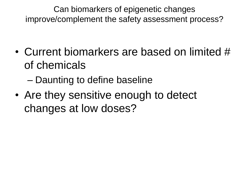Can biomarkers of epigenetic changes improve/complement the safety assessment process?

- Current biomarkers are based on limited # of chemicals
	- Daunting to define baseline
- Are they sensitive enough to detect changes at low doses?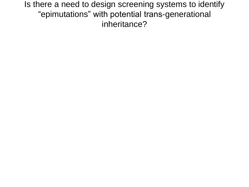Is there a need to design screening systems to identify "epimutations" with potential trans-generational inheritance?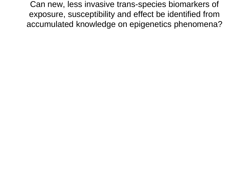Can new, less invasive trans-species biomarkers of exposure, susceptibility and effect be identified from accumulated knowledge on epigenetics phenomena?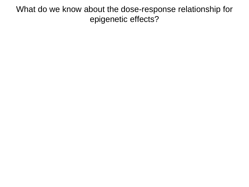What do we know about the dose-response relationship for epigenetic effects?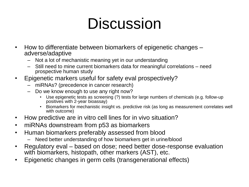## **Discussion**

- How to differentiate between biomarkers of epigenetic changes adverse/adaptive
	- Not a lot of mechanistic meaning yet in our understanding
	- Still need to mine current biomarkers data for meaningful correlations need prospective human study
- Epigenetic markers useful for safety eval prospectively?
	- miRNAs? (precedence in cancer research)
	- Do we know enough to use any right now?
		- Use epigenetic tests as screening (?) tests for large numbers of chemicals (e.g. follow-up positives with 2-year bioassay)
		- Biomarkers for mechanistic insight vs. predictive risk (as long as measurement correlates well with outcome)
- How predictive are in vitro cell lines for in vivo situation?
- miRNAs downstream from p53 as biomarkers
- Human biomarkers preferably assessed from blood
	- Need better understanding of how biomarkers get in urine/blood
- Regulatory eval based on dose; need better dose-response evaluation with biomarkers, histopath, other markers (AST), etc.
- Epigenetic changes in germ cells (transgenerational effects)